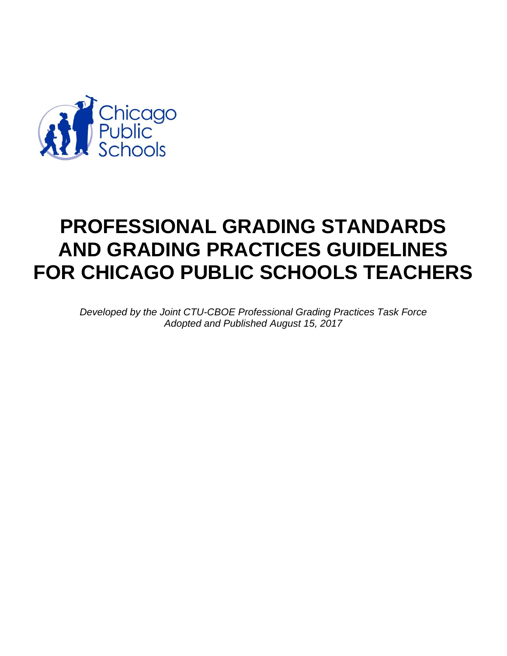

# **PROFESSIONAL GRADING STANDARDS AND GRADING PRACTICES GUIDELINES FOR CHICAGO PUBLIC SCHOOLS TEACHERS**

*Developed by the Joint CTU-CBOE Professional Grading Practices Task Force Adopted and Published August 15, 2017*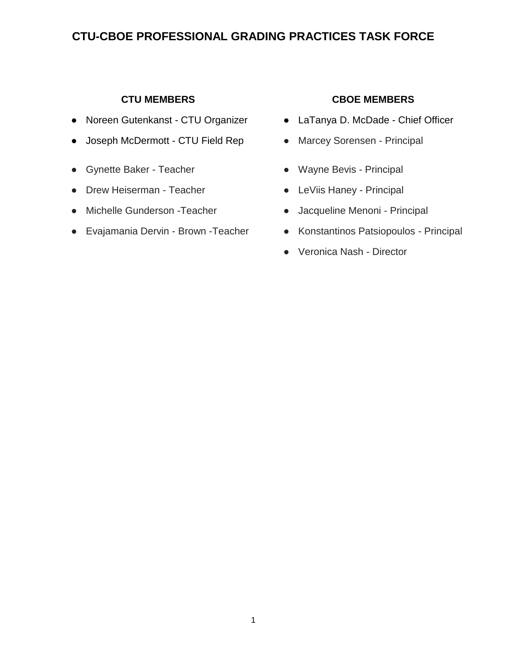## **CTU-CBOE PROFESSIONAL GRADING PRACTICES TASK FORCE**

- Noreen Gutenkanst CTU Organizer LaTanya D. McDade Chief Officer
- Joseph McDermott CTU Field Rep Marcey Sorensen Principal
- Gynette Baker Teacher <br>● Wayne Bevis Principal
- Drew Heiserman Teacher CleViis Haney Principal
- Michelle Gunderson -Teacher Jacqueline Menoni Principal
- 

#### **CTU MEMBERS CBOE MEMBERS**

- 
- 
- 
- 
- 
- Evajamania Dervin Brown Teacher Konstantinos Patsiopoulos Principal
	- Veronica Nash Director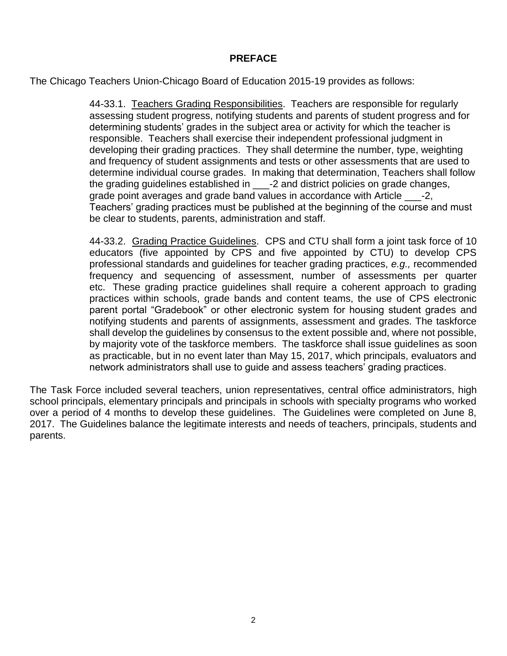#### **PREFACE**

The Chicago Teachers Union-Chicago Board of Education 2015-19 provides as follows:

44-33.1. Teachers Grading Responsibilities. Teachers are responsible for regularly assessing student progress, notifying students and parents of student progress and for determining students' grades in the subject area or activity for which the teacher is responsible. Teachers shall exercise their independent professional judgment in developing their grading practices. They shall determine the number, type, weighting and frequency of student assignments and tests or other assessments that are used to determine individual course grades. In making that determination, Teachers shall follow the grading guidelines established in \_\_\_-2 and district policies on grade changes, grade point averages and grade band values in accordance with Article \_\_\_-2, Teachers' grading practices must be published at the beginning of the course and must be clear to students, parents, administration and staff.

44-33.2. Grading Practice Guidelines. CPS and CTU shall form a joint task force of 10 educators (five appointed by CPS and five appointed by CTU) to develop CPS professional standards and guidelines for teacher grading practices, *e.g.,* recommended frequency and sequencing of assessment, number of assessments per quarter etc. These grading practice guidelines shall require a coherent approach to grading practices within schools, grade bands and content teams, the use of CPS electronic parent portal "Gradebook" or other electronic system for housing student grades and notifying students and parents of assignments, assessment and grades. The taskforce shall develop the guidelines by consensus to the extent possible and, where not possible, by majority vote of the taskforce members. The taskforce shall issue guidelines as soon as practicable, but in no event later than May 15, 2017, which principals, evaluators and network administrators shall use to guide and assess teachers' grading practices.

The Task Force included several teachers, union representatives, central office administrators, high school principals, elementary principals and principals in schools with specialty programs who worked over a period of 4 months to develop these guidelines. The Guidelines were completed on June 8, 2017. The Guidelines balance the legitimate interests and needs of teachers, principals, students and parents.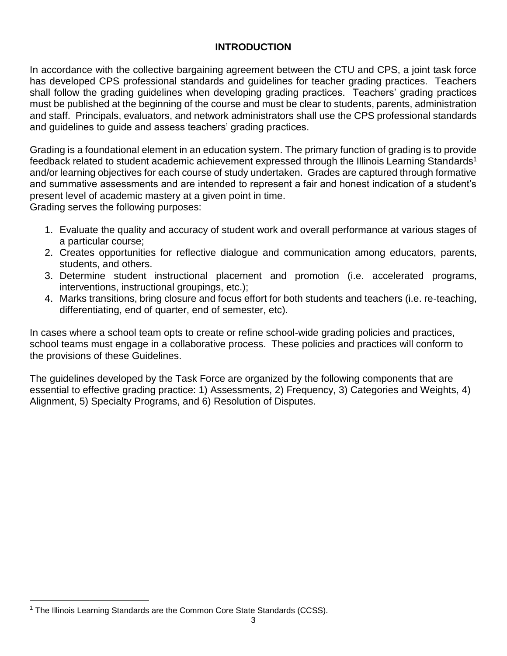#### **INTRODUCTION**

In accordance with the collective bargaining agreement between the CTU and CPS, a joint task force has developed CPS professional standards and guidelines for teacher grading practices. Teachers shall follow the grading guidelines when developing grading practices. Teachers' grading practices must be published at the beginning of the course and must be clear to students, parents, administration and staff. Principals, evaluators, and network administrators shall use the CPS professional standards and guidelines to guide and assess teachers' grading practices.

Grading is a foundational element in an education system. The primary function of grading is to provide feedback related to student academic achievement expressed through the Illinois Learning Standards<sup>1</sup> and/or learning objectives for each course of study undertaken. Grades are captured through formative and summative assessments and are intended to represent a fair and honest indication of a student's present level of academic mastery at a given point in time.

Grading serves the following purposes:

- 1. Evaluate the quality and accuracy of student work and overall performance at various stages of a particular course;
- 2. Creates opportunities for reflective dialogue and communication among educators, parents, students, and others.
- 3. Determine student instructional placement and promotion (i.e. accelerated programs, interventions, instructional groupings, etc.);
- 4. Marks transitions, bring closure and focus effort for both students and teachers (i.e. re-teaching, differentiating, end of quarter, end of semester, etc).

In cases where a school team opts to create or refine school-wide grading policies and practices, school teams must engage in a collaborative process. These policies and practices will conform to the provisions of these Guidelines.

The guidelines developed by the Task Force are organized by the following components that are essential to effective grading practice: 1) Assessments, 2) Frequency, 3) Categories and Weights, 4) Alignment, 5) Specialty Programs, and 6) Resolution of Disputes.

 $\overline{a}$ <sup>1</sup> The Illinois Learning Standards are the Common Core State Standards (CCSS).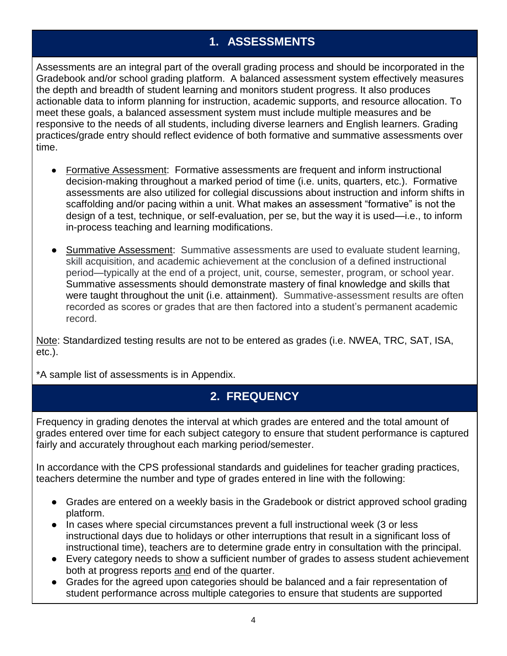## **1. ASSESSMENTS**

Assessments are an integral part of the overall grading process and should be incorporated in the Gradebook and/or school grading platform. A balanced assessment system effectively measures the depth and breadth of student learning and monitors student progress. It also produces actionable data to inform planning for instruction, academic supports, and resource allocation. To meet these goals, a balanced assessment system must include multiple measures and be responsive to the needs of all students, including diverse learners and English learners. Grading practices/grade entry should reflect evidence of both formative and summative assessments over time.

- Formative Assessment: Formative assessments are frequent and inform instructional decision-making throughout a marked period of time (i.e. units, quarters, etc.). Formative assessments are also utilized for collegial discussions about instruction and inform shifts in scaffolding and/or pacing within a unit. What makes an assessment "formative" is not the design of a test, technique, or self-evaluation, per se, but the way it is used—i.e., to inform in-process teaching and learning modifications.
- Summative Assessment: Summative assessments are used to evaluate student learning, skill acquisition, and academic achievement at the conclusion of a defined instructional period—typically at the end of a project, unit, course, semester, program, or school year. Summative assessments should demonstrate mastery of final knowledge and skills that were taught throughout the unit (i.e. attainment). Summative-assessment results are often recorded as scores or grades that are then factored into a student's permanent academic record.

Note: Standardized testing results are not to be entered as grades (i.e. NWEA, TRC, SAT, ISA, etc.).

\*A sample list of assessments is in Appendix.

## **2. FREQUENCY**

Frequency in grading denotes the interval at which grades are entered and the total amount of grades entered over time for each subject category to ensure that student performance is captured fairly and accurately throughout each marking period/semester.

In accordance with the CPS professional standards and guidelines for teacher grading practices, teachers determine the number and type of grades entered in line with the following:

- Grades are entered on a weekly basis in the Gradebook or district approved school grading platform.
- In cases where special circumstances prevent a full instructional week (3 or less instructional days due to holidays or other interruptions that result in a significant loss of instructional time), teachers are to determine grade entry in consultation with the principal.
- Every category needs to show a sufficient number of grades to assess student achievement both at progress reports and end of the quarter.
- Grades for the agreed upon categories should be balanced and a fair representation of student performance across multiple categories to ensure that students are supported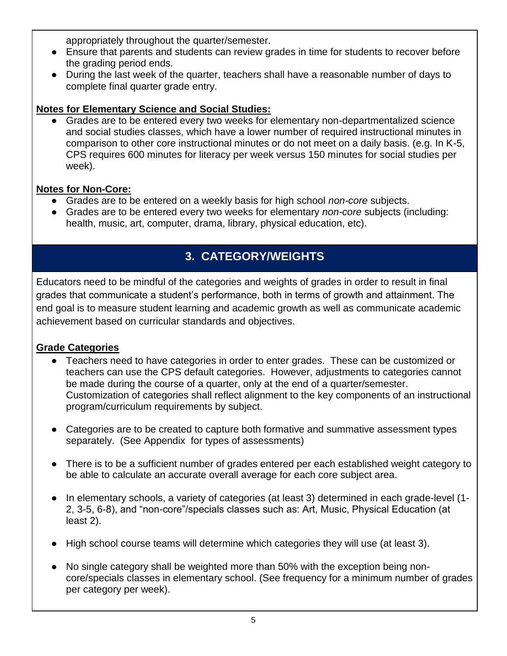appropriately throughout the quarter/semester.

- Ensure that parents and students can review grades in time for students to recover before the grading period ends.
- During the last week of the quarter, teachers shall have a reasonable number of days to complete final quarter grade entry.

## **Notes for Elementary Science and Social Studies:**

Grades are to be entered every two weeks for elementary non-departmentalized science and social studies classes, which have a lower number of required instructional minutes in comparison to other core instructional minutes or do not meet on a daily basis. (e.g. In K-5, CPS requires 600 minutes for literacy per week versus 150 minutes for social studies per week).

## **Notes for Non-Core:**

- Grades are to be entered on a weekly basis for high school *non-core* subjects.
- Grades are to be entered every two weeks for elementary *non-core* subjects (including: health, music, art, computer, drama, library, physical education, etc).

## **3. CATEGORY/WEIGHTS**

Educators need to be mindful of the categories and weights of grades in order to result in final grades that communicate a student's performance, both in terms of growth and attainment. The end goal is to measure student learning and academic growth as well as communicate academic achievement based on curricular standards and objectives.

## **Grade Categories**

- Teachers need to have categories in order to enter grades. These can be customized or teachers can use the CPS default categories. However, adjustments to categories cannot be made during the course of a quarter, only at the end of a quarter/semester. Customization of categories shall reflect alignment to the key components of an instructional program/curriculum requirements by subject.
- Categories are to be created to capture both formative and summative assessment types separately. (See Appendix for types of assessments)
- There is to be a sufficient number of grades entered per each established weight category to be able to calculate an accurate overall average for each core subject area.
- In elementary schools, a variety of categories (at least 3) determined in each grade-level (1- 2, 3-5, 6-8), and "non-core"/specials classes such as: Art, Music, Physical Education (at least 2).
- High school course teams will determine which categories they will use (at least 3).
- No single category shall be weighted more than 50% with the exception being noncore/specials classes in elementary school. (See frequency for a minimum number of grades per category per week).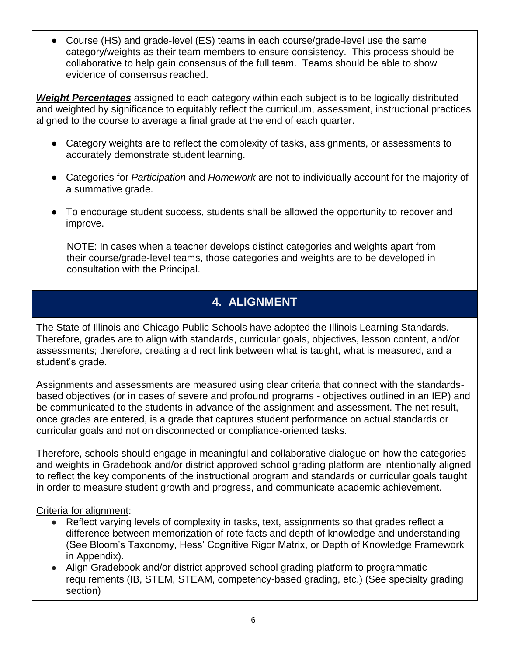Course (HS) and grade-level (ES) teams in each course/grade-level use the same category/weights as their team members to ensure consistency. This process should be collaborative to help gain consensus of the full team. Teams should be able to show evidence of consensus reached.

*Weight Percentages* assigned to each category within each subject is to be logically distributed and weighted by significance to equitably reflect the curriculum, assessment, instructional practices aligned to the course to average a final grade at the end of each quarter.

- Category weights are to reflect the complexity of tasks, assignments, or assessments to accurately demonstrate student learning.
- Categories for *Participation* and *Homework* are not to individually account for the majority of a summative grade.
- To encourage student success, students shall be allowed the opportunity to recover and improve.

 NOTE: In cases when a teacher develops distinct categories and weights apart from their course/grade-level teams, those categories and weights are to be developed in consultation with the Principal.

## **4. ALIGNMENT**

The State of Illinois and Chicago Public Schools have adopted the Illinois Learning Standards. Therefore, grades are to align with standards, curricular goals, objectives, lesson content, and/or assessments; therefore, creating a direct link between what is taught, what is measured, and a student's grade.

Assignments and assessments are measured using clear criteria that connect with the standardsbased objectives (or in cases of severe and profound programs - objectives outlined in an IEP) and be communicated to the students in advance of the assignment and assessment. The net result, once grades are entered, is a grade that captures student performance on actual standards or curricular goals and not on disconnected or compliance-oriented tasks.

Therefore, schools should engage in meaningful and collaborative dialogue on how the categories and weights in Gradebook and/or district approved school grading platform are intentionally aligned to reflect the key components of the instructional program and standards or curricular goals taught in order to measure student growth and progress, and communicate academic achievement.

#### Criteria for alignment:

- Reflect varying levels of complexity in tasks, text, assignments so that grades reflect a difference between memorization of rote facts and depth of knowledge and understanding (See Bloom's Taxonomy, Hess' Cognitive Rigor Matrix, or Depth of Knowledge Framework in Appendix).
- Align Gradebook and/or district approved school grading platform to programmatic requirements (IB, STEM, STEAM, competency-based grading, etc.) (See specialty grading section)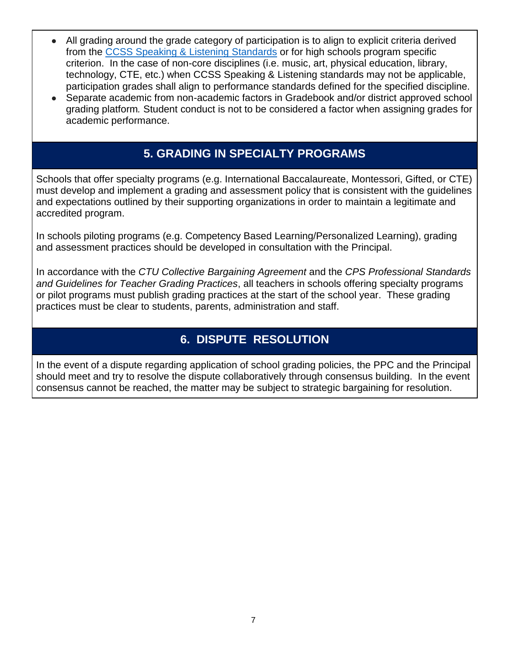- All grading around the grade category of participation is to align to explicit criteria derived from the CCSS Speaking & Listening Standards or for high schools program specific criterion. In the case of non-core disciplines (i.e. music, art, physical education, library, technology, CTE, etc.) when CCSS Speaking & Listening standards may not be applicable, participation grades shall align to performance standards defined for the specified discipline.
- Separate academic from non-academic factors in Gradebook and/or district approved school grading platform*.* Student conduct is not to be considered a factor when assigning grades for academic performance.

## **5. GRADING IN SPECIALTY PROGRAMS**

Schools that offer specialty programs (e.g. International Baccalaureate, Montessori, Gifted, or CTE) must develop and implement a grading and assessment policy that is consistent with the guidelines and expectations outlined by their supporting organizations in order to maintain a legitimate and accredited program.

In schools piloting programs (e.g. Competency Based Learning/Personalized Learning), grading and assessment practices should be developed in consultation with the Principal.

In accordance with the *CTU Collective Bargaining Agreement* and the *CPS Professional Standards and Guidelines for Teacher Grading Practices*, all teachers in schools offering specialty programs or pilot programs must publish grading practices at the start of the school year. These grading practices must be clear to students, parents, administration and staff.

## **6. DISPUTE RESOLUTION**

In the event of a dispute regarding application of school grading policies, the PPC and the Principal should meet and try to resolve the dispute collaboratively through consensus building. In the event consensus cannot be reached, the matter may be subject to strategic bargaining for resolution.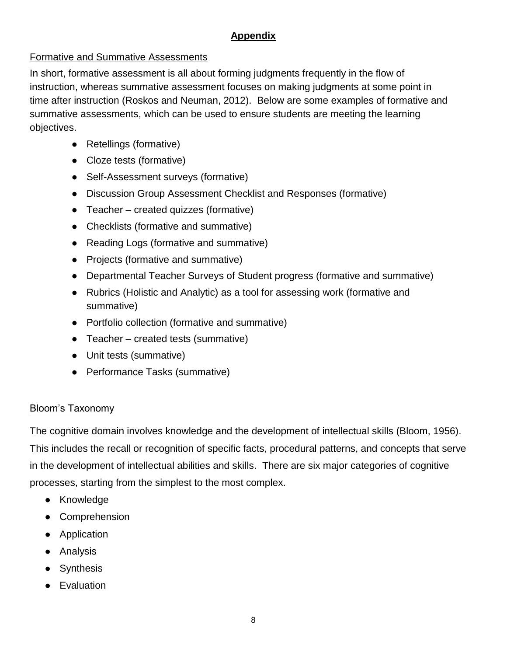## **Appendix**

#### Formative and Summative Assessments

In short, formative assessment is all about forming judgments frequently in the flow of instruction, whereas summative assessment focuses on making judgments at some point in time after instruction (Roskos and Neuman, 2012). Below are some examples of formative and summative assessments, which can be used to ensure students are meeting the learning objectives.

- Retellings (formative)
- Cloze tests (formative)
- Self-Assessment surveys (formative)
- Discussion Group Assessment Checklist and Responses (formative)
- $\bullet$  Teacher created quizzes (formative)
- Checklists (formative and summative)
- Reading Logs (formative and summative)
- Projects (formative and summative)
- Departmental Teacher Surveys of Student progress (formative and summative)
- Rubrics (Holistic and Analytic) as a tool for assessing work (formative and summative)
- Portfolio collection (formative and summative)
- $\bullet$  Teacher created tests (summative)
- Unit tests (summative)
- Performance Tasks (summative)

## Bloom's Taxonomy

The cognitive domain involves knowledge and the development of intellectual skills (Bloom, 1956). This includes the recall or recognition of specific facts, procedural patterns, and concepts that serve in the development of intellectual abilities and skills. There are six major categories of cognitive processes, starting from the simplest to the most complex.

- Knowledge
- Comprehension
- Application
- Analysis
- Synthesis
- Evaluation